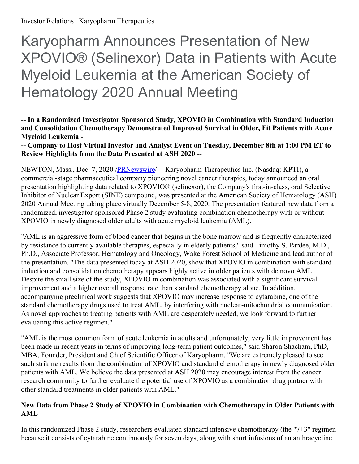# Karyopharm Announces Presentation of New XPOVIO® (Selinexor) Data in Patients with Acute Myeloid Leukemia at the American Society of Hematology 2020 Annual Meeting

## **-- In a Randomized Investigator Sponsored Study, XPOVIO in Combination with Standard Induction and Consolidation Chemotherapy Demonstrated Improved Survival in Older, Fit Patients with Acute Myeloid Leukemia -**

**-- Company to Host Virtual Investor and Analyst Event on Tuesday, December 8th at 1:00 PM ET to Review Highlights from the Data Presented at ASH 2020 --**

NEWTON, Mass., Dec. 7, 2020 [/PRNewswire](http://www.prnewswire.com/)/ -- Karyopharm Therapeutics Inc. (Nasdaq: KPTI), a commercial-stage pharmaceutical company pioneering novel cancer therapies, today announced an oral presentation highlighting data related to XPOVIO® (selinexor), the Company's first-in-class, oral Selective Inhibitor of Nuclear Export (SINE) compound, was presented at the American Society of Hematology (ASH) 2020 Annual Meeting taking place virtually December 5-8, 2020. The presentation featured new data from a randomized, investigator-sponsored Phase 2 study evaluating combination chemotherapy with or without XPOVIO in newly diagnosed older adults with acute myeloid leukemia (AML).

"AML is an aggressive form of blood cancer that begins in the bone marrow and is frequently characterized by resistance to currently available therapies, especially in elderly patients," said Timothy S. Pardee, M.D., Ph.D., Associate Professor, Hematology and Oncology, Wake Forest School of Medicine and lead author of the presentation. "The data presented today at ASH 2020, show that XPOVIO in combination with standard induction and consolidation chemotherapy appears highly active in older patients with de novo AML. Despite the small size of the study, XPOVIO in combination was associated with a significant survival improvement and a higher overall response rate than standard chemotherapy alone. In addition, accompanying preclinical work suggests that XPOVIO may increase response to cytarabine, one of the standard chemotherapy drugs used to treat AML, by interfering with nuclear-mitochondrial communication. As novel approaches to treating patients with AML are desperately needed, we look forward to further evaluating this active regimen."

"AML is the most common form of acute leukemia in adults and unfortunately, very little improvement has been made in recent years in terms of improving long-term patient outcomes," said Sharon Shacham, PhD, MBA, Founder, President and Chief Scientific Officer of Karyopharm. "We are extremely pleased to see such striking results from the combination of XPOVIO and standard chemotherapy in newly diagnosed older patients with AML. We believe the data presented at ASH 2020 may encourage interest from the cancer research community to further evaluate the potential use of XPOVIO as a combination drug partner with other standard treatments in older patients with AML."

# **New Data from Phase 2 Study of XPOVIO in Combination with Chemotherapy in Older Patients with AML**

In this randomized Phase 2 study, researchers evaluated standard intensive chemotherapy (the "7+3" regimen because it consists of cytarabine continuously for seven days, along with short infusions of an anthracycline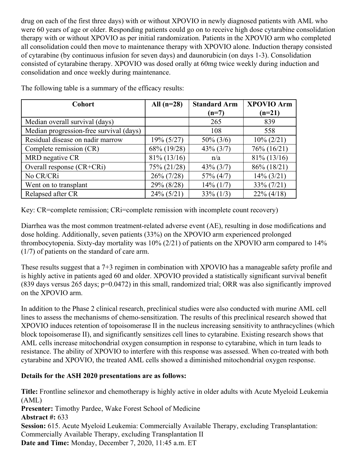drug on each of the first three days) with or without XPOVIO in newly diagnosed patients with AML who were 60 years of age or older. Responding patients could go on to receive high dose cytarabine consolidation therapy with or without XPOVIO as per initial randomization. Patients in the XPOVIO arm who completed all consolidation could then move to maintenance therapy with XPOVIO alone. Induction therapy consisted of cytarabine (by continuous infusion for seven days) and daunorubicin (on days 1-3). Consolidation consisted of cytarabine therapy. XPOVIO was dosed orally at 60mg twice weekly during induction and consolidation and once weekly during maintenance.

| <b>Cohort</b>                           | All $(n=28)$   | <b>Standard Arm</b> | <b>XPOVIO Arm</b> |
|-----------------------------------------|----------------|---------------------|-------------------|
|                                         |                | $(n=7)$             | $(n=21)$          |
| Median overall survival (days)          |                | 265                 | 839               |
| Median progression-free survival (days) |                | 108                 | 558               |
| Residual disease on nadir marrow        | $19\% (5/27)$  | $50\% (3/6)$        | $10\% (2/21)$     |
| Complete remission (CR)                 | 68% (19/28)    | $43\% (3/7)$        | 76% (16/21)       |
| MRD negative CR                         | $81\% (13/16)$ | n/a                 | $81\% (13/16)$    |
| Overall response (CR+CRi)               | 75% (21/28)    | $43\% (3/7)$        | 86% (18/21)       |
| No CR/CRi                               | $26\% (7/28)$  | $57\%$ (4/7)        | $14\% (3/21)$     |
| Went on to transplant                   | 29% (8/28)     | $14\%$ (1/7)        | $33\% (7/21)$     |
| Relapsed after CR                       | $24\% (5/21)$  | $33\% (1/3)$        | $22\% (4/18)$     |

The following table is a summary of the efficacy results:

Key: CR=complete remission; CRi=complete remission with incomplete count recovery)

Diarrhea was the most common treatment-related adverse event (AE), resulting in dose modifications and dose holding. Additionally, seven patients (33%) on the XPOVIO arm experienced prolonged thrombocytopenia. Sixty-day mortality was 10% (2/21) of patients on the XPOVIO arm compared to 14% (1/7) of patients on the standard of care arm.

These results suggest that a 7+3 regimen in combination with XPOVIO has a manageable safety profile and is highly active in patients aged 60 and older. XPOVIO provided a statistically significant survival benefit (839 days versus 265 days; p=0.0472) in this small, randomized trial; ORR was also significantly improved on the XPOVIO arm.

In addition to the Phase 2 clinical research, preclinical studies were also conducted with murine AML cell lines to assess the mechanisms of chemo-sensitization. The results of this preclinical research showed that XPOVIO induces retention of topoisomerase II in the nucleus increasing sensitivity to anthracyclines (which block topoisomerase II), and significantly sensitizes cell lines to cytarabine. Existing research shows that AML cells increase mitochondrial oxygen consumption in response to cytarabine, which in turn leads to resistance. The ability of XPOVIO to interfere with this response was assessed. When co-treated with both cytarabine and XPOVIO, the treated AML cells showed a diminished mitochondrial oxygen response.

# **Details for the ASH 2020 presentations are as follows:**

**Title:** Frontline selinexor and chemotherapy is highly active in older adults with Acute Myeloid Leukemia (AML) **Presenter:** Timothy Pardee, Wake Forest School of Medicine **Abstract #:** 633 **Session:** 615. Acute Myeloid Leukemia: Commercially Available Therapy, excluding Transplantation: Commercially Available Therapy, excluding Transplantation II **Date and Time:** Monday, December 7, 2020, 11:45 a.m. ET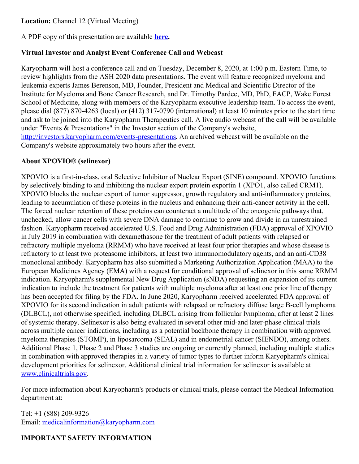# **Location:** Channel 12 (Virtual Meeting)

A PDF copy of this presentation are available **[here](https://c212.net/c/link/?t=0&l=en&o=3004640-1&h=1576039845&u=https%3A%2F%2Fwww.karyopharm.com%2Ftechnology-and-research%2Fpublications-and-presentations%2F&a=here).**

#### **Virtual Investor and Analyst Event Conference Call and Webcast**

Karyopharm will host a conference call and on Tuesday, December 8, 2020, at 1:00 p.m. Eastern Time, to review highlights from the ASH 2020 data presentations. The event will feature recognized myeloma and leukemia experts James Berenson, MD, Founder, President and Medical and Scientific Director of the Institute for Myeloma and Bone Cancer Research, and Dr. Timothy Pardee, MD, PhD, FACP, Wake Forest School of Medicine, along with members of the Karyopharm executive leadership team. To access the event, please dial (877) 870-4263 (local) or (412) 317-0790 (international) at least 10 minutes prior to the start time and ask to be joined into the Karyopharm Therapeutics call. A live audio webcast of the call will be available under "Events & Presentations" in the Investor section of the Company's website, <http://investors.karyopharm.com/events-presentations>. An archived webcast will be available on the Company's website approximately two hours after the event.

## **About XPOVIO® (selinexor)**

XPOVIO is a first-in-class, oral Selective Inhibitor of Nuclear Export (SINE) compound. XPOVIO functions by selectively binding to and inhibiting the nuclear export protein exportin 1 (XPO1, also called CRM1). XPOVIO blocks the nuclear export of tumor suppressor, growth regulatory and anti-inflammatory proteins, leading to accumulation of these proteins in the nucleus and enhancing their anti-cancer activity in the cell. The forced nuclear retention of these proteins can counteract a multitude of the oncogenic pathways that, unchecked, allow cancer cells with severe DNA damage to continue to grow and divide in an unrestrained fashion. Karyopharm received accelerated U.S. Food and Drug Administration (FDA) approval of XPOVIO in July 2019 in combination with dexamethasone for the treatment of adult patients with relapsed or refractory multiple myeloma (RRMM) who have received at least four prior therapies and whose disease is refractory to at least two proteasome inhibitors, at least two immunomodulatory agents, and an anti-CD38 monoclonal antibody. Karyopharm has also submitted a Marketing Authorization Application (MAA) to the European Medicines Agency (EMA) with a request for conditional approval of selinexor in this same RRMM indication. Karyopharm's supplemental New Drug Application (sNDA) requesting an expansion of its current indication to include the treatment for patients with multiple myeloma after at least one prior line of therapy has been accepted for filing by the FDA. In June 2020, Karyopharm received accelerated FDA approval of XPOVIO for its second indication in adult patients with relapsed or refractory diffuse large B-cell lymphoma (DLBCL), not otherwise specified, including DLBCL arising from follicular lymphoma, after at least 2 lines of systemic therapy. Selinexor is also being evaluated in several other mid-and later-phase clinical trials across multiple cancer indications, including as a potential backbone therapy in combination with approved myeloma therapies (STOMP), in liposarcoma (SEAL) and in endometrial cancer (SIENDO), among others. Additional Phase 1, Phase 2 and Phase 3 studies are ongoing or currently planned, including multiple studies in combination with approved therapies in a variety of tumor types to further inform Karyopharm's clinical development priorities for selinexor. Additional clinical trial information for selinexor is available at [www.clinicaltrials.gov](https://c212.net/c/link/?t=0&l=en&o=3004640-1&h=3062405622&u=http%3A%2F%2Fwww.clinicaltrials.gov%2F&a=www.clinicaltrials.gov).

For more information about Karyopharm's products or clinical trials, please contact the Medical Information department at:

Tel: +1 (888) 209-9326 Email: [medicalinformation@karyopharm.com](mailto:medicalinformation@karyopharm.com)

# **IMPORTANT SAFETY INFORMATION**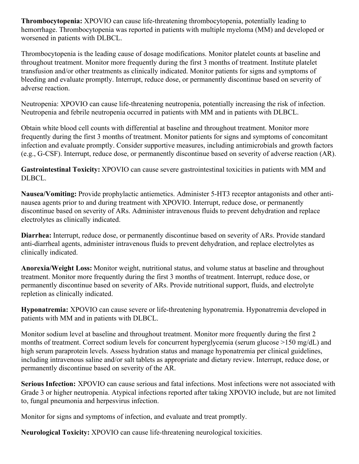**Thrombocytopenia:** XPOVIO can cause life-threatening thrombocytopenia, potentially leading to hemorrhage. Thrombocytopenia was reported in patients with multiple myeloma (MM) and developed or worsened in patients with DLBCL.

Thrombocytopenia is the leading cause of dosage modifications. Monitor platelet counts at baseline and throughout treatment. Monitor more frequently during the first 3 months of treatment. Institute platelet transfusion and/or other treatments as clinically indicated. Monitor patients for signs and symptoms of bleeding and evaluate promptly. Interrupt, reduce dose, or permanently discontinue based on severity of adverse reaction.

Neutropenia: XPOVIO can cause life-threatening neutropenia, potentially increasing the risk of infection. Neutropenia and febrile neutropenia occurred in patients with MM and in patients with DLBCL.

Obtain white blood cell counts with differential at baseline and throughout treatment. Monitor more frequently during the first 3 months of treatment. Monitor patients for signs and symptoms of concomitant infection and evaluate promptly. Consider supportive measures, including antimicrobials and growth factors (e.g., G-CSF). Interrupt, reduce dose, or permanently discontinue based on severity of adverse reaction (AR).

**Gastrointestinal Toxicity:** XPOVIO can cause severe gastrointestinal toxicities in patients with MM and DLBCL.

**Nausea/Vomiting:** Provide prophylactic antiemetics. Administer 5-HT3 receptor antagonists and other antinausea agents prior to and during treatment with XPOVIO. Interrupt, reduce dose, or permanently discontinue based on severity of ARs. Administer intravenous fluids to prevent dehydration and replace electrolytes as clinically indicated.

**Diarrhea:** Interrupt, reduce dose, or permanently discontinue based on severity of ARs. Provide standard anti-diarrheal agents, administer intravenous fluids to prevent dehydration, and replace electrolytes as clinically indicated.

**Anorexia/Weight Loss:** Monitor weight, nutritional status, and volume status at baseline and throughout treatment. Monitor more frequently during the first 3 months of treatment. Interrupt, reduce dose, or permanently discontinue based on severity of ARs. Provide nutritional support, fluids, and electrolyte repletion as clinically indicated.

**Hyponatremia:** XPOVIO can cause severe or life-threatening hyponatremia. Hyponatremia developed in patients with MM and in patients with DLBCL.

Monitor sodium level at baseline and throughout treatment. Monitor more frequently during the first 2 months of treatment. Correct sodium levels for concurrent hyperglycemia (serum glucose >150 mg/dL) and high serum paraprotein levels. Assess hydration status and manage hyponatremia per clinical guidelines, including intravenous saline and/or salt tablets as appropriate and dietary review. Interrupt, reduce dose, or permanently discontinue based on severity of the AR.

**Serious Infection:** XPOVIO can cause serious and fatal infections. Most infections were not associated with Grade 3 or higher neutropenia. Atypical infections reported after taking XPOVIO include, but are not limited to, fungal pneumonia and herpesvirus infection.

Monitor for signs and symptoms of infection, and evaluate and treat promptly.

**Neurological Toxicity:** XPOVIO can cause life-threatening neurological toxicities.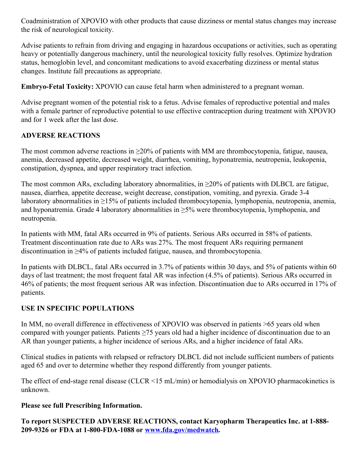Coadministration of XPOVIO with other products that cause dizziness or mental status changes may increase the risk of neurological toxicity.

Advise patients to refrain from driving and engaging in hazardous occupations or activities, such as operating heavy or potentially dangerous machinery, until the neurological toxicity fully resolves. Optimize hydration status, hemoglobin level, and concomitant medications to avoid exacerbating dizziness or mental status changes. Institute fall precautions as appropriate.

**Embryo-Fetal Toxicity:** XPOVIO can cause fetal harm when administered to a pregnant woman.

Advise pregnant women of the potential risk to a fetus. Advise females of reproductive potential and males with a female partner of reproductive potential to use effective contraception during treatment with XPOVIO and for 1 week after the last dose.

# **ADVERSE REACTIONS**

The most common adverse reactions in  $\geq$ 20% of patients with MM are thrombocytopenia, fatigue, nausea, anemia, decreased appetite, decreased weight, diarrhea, vomiting, hyponatremia, neutropenia, leukopenia, constipation, dyspnea, and upper respiratory tract infection.

The most common ARs, excluding laboratory abnormalities, in  $\geq$ 20% of patients with DLBCL are fatigue, nausea, diarrhea, appetite decrease, weight decrease, constipation, vomiting, and pyrexia. Grade 3-4 laboratory abnormalities in ≥15% of patients included thrombocytopenia, lymphopenia, neutropenia, anemia, and hyponatremia. Grade 4 laboratory abnormalities in  $\geq$ 5% were thrombocytopenia, lymphopenia, and neutropenia.

In patients with MM, fatal ARs occurred in 9% of patients. Serious ARs occurred in 58% of patients. Treatment discontinuation rate due to ARs was 27%. The most frequent ARs requiring permanent discontinuation in ≥4% of patients included fatigue, nausea, and thrombocytopenia.

In patients with DLBCL, fatal ARs occurred in 3.7% of patients within 30 days, and 5% of patients within 60 days of last treatment; the most frequent fatal AR was infection (4.5% of patients). Serious ARs occurred in 46% of patients; the most frequent serious AR was infection. Discontinuation due to ARs occurred in 17% of patients.

## **USE IN SPECIFIC POPULATIONS**

In MM, no overall difference in effectiveness of XPOVIO was observed in patients >65 years old when compared with younger patients. Patients ≥75 years old had a higher incidence of discontinuation due to an AR than younger patients, a higher incidence of serious ARs, and a higher incidence of fatal ARs.

Clinical studies in patients with relapsed or refractory DLBCL did not include sufficient numbers of patients aged 65 and over to determine whether they respond differently from younger patients.

The effect of end-stage renal disease (CLCR <15 mL/min) or hemodialysis on XPOVIO pharmacokinetics is unknown.

#### **Please see full Prescribing Information.**

**To report SUSPECTED ADVERSE REACTIONS, contact Karyopharm Therapeutics Inc. at 1-888- 209-9326 or FDA at 1-800-FDA-1088 or [www.fda.gov/medwatch](https://c212.net/c/link/?t=0&l=en&o=3004640-1&h=4163513470&u=http%3A%2F%2Fwww.fda.gov%2Fmedwatch&a=www.fda.gov%2Fmedwatch).**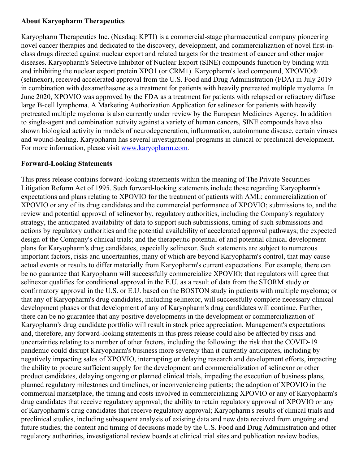#### **About Karyopharm Therapeutics**

Karyopharm Therapeutics Inc. (Nasdaq: KPTI) is a commercial-stage pharmaceutical company pioneering novel cancer therapies and dedicated to the discovery, development, and commercialization of novel first-inclass drugs directed against nuclear export and related targets for the treatment of cancer and other major diseases. Karyopharm's Selective Inhibitor of Nuclear Export (SINE) compounds function by binding with and inhibiting the nuclear export protein XPO1 (or CRM1). Karyopharm's lead compound, XPOVIO® (selinexor), received accelerated approval from the U.S. Food and Drug Administration (FDA) in July 2019 in combination with dexamethasone as a treatment for patients with heavily pretreated multiple myeloma. In June 2020, XPOVIO was approved by the FDA as a treatment for patients with relapsed or refractory diffuse large B-cell lymphoma. A Marketing Authorization Application for selinexor for patients with heavily pretreated multiple myeloma is also currently under review by the European Medicines Agency. In addition to single-agent and combination activity against a variety of human cancers, SINE compounds have also shown biological activity in models of neurodegeneration, inflammation, autoimmune disease, certain viruses and wound-healing. Karyopharm has several investigational programs in clinical or preclinical development. For more information, please visit [www.karyopharm.com](https://c212.net/c/link/?t=0&l=en&o=3004640-1&h=2455751108&u=http%3A%2F%2Fwww.karyopharm.com%2F&a=www.karyopharm.com).

#### **Forward-Looking Statements**

This press release contains forward-looking statements within the meaning of The Private Securities Litigation Reform Act of 1995. Such forward-looking statements include those regarding Karyopharm's expectations and plans relating to XPOVIO for the treatment of patients with AML; commercialization of XPOVIO or any of its drug candidates and the commercial performance of XPOVIO; submissions to, and the review and potential approval of selinexor by, regulatory authorities, including the Company's regulatory strategy, the anticipated availability of data to support such submissions, timing of such submissions and actions by regulatory authorities and the potential availability of accelerated approval pathways; the expected design of the Company's clinical trials; and the therapeutic potential of and potential clinical development plans for Karyopharm's drug candidates, especially selinexor. Such statements are subject to numerous important factors, risks and uncertainties, many of which are beyond Karyopharm's control, that may cause actual events or results to differ materially from Karyopharm's current expectations. For example, there can be no guarantee that Karyopharm will successfully commercialize XPOVIO; that regulators will agree that selinexor qualifies for conditional approval in the E.U. as a result of data from the STORM study or confirmatory approval in the U.S. or E.U. based on the BOSTON study in patients with multiple myeloma; or that any of Karyopharm's drug candidates, including selinexor, will successfully complete necessary clinical development phases or that development of any of Karyopharm's drug candidates will continue. Further, there can be no guarantee that any positive developments in the development or commercialization of Karyopharm's drug candidate portfolio will result in stock price appreciation. Management's expectations and, therefore, any forward-looking statements in this press release could also be affected by risks and uncertainties relating to a number of other factors, including the following: the risk that the COVID-19 pandemic could disrupt Karyopharm's business more severely than it currently anticipates, including by negatively impacting sales of XPOVIO, interrupting or delaying research and development efforts, impacting the ability to procure sufficient supply for the development and commercialization of selinexor or other product candidates, delaying ongoing or planned clinical trials, impeding the execution of business plans, planned regulatory milestones and timelines, or inconveniencing patients; the adoption of XPOVIO in the commercial marketplace, the timing and costs involved in commercializing XPOVIO or any of Karyopharm's drug candidates that receive regulatory approval; the ability to retain regulatory approval of XPOVIO or any of Karyopharm's drug candidates that receive regulatory approval; Karyopharm's results of clinical trials and preclinical studies, including subsequent analysis of existing data and new data received from ongoing and future studies; the content and timing of decisions made by the U.S. Food and Drug Administration and other regulatory authorities, investigational review boards at clinical trial sites and publication review bodies,